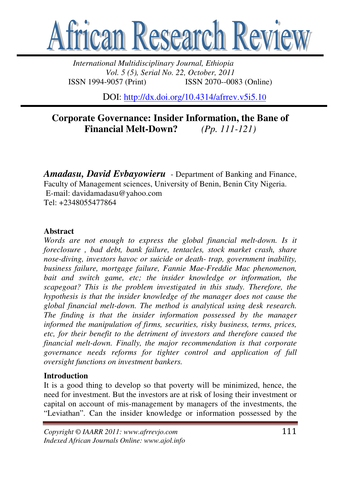

*International Multidisciplinary Journal, Ethiopia Vol. 5 (5), Serial No. 22, October, 2011*  ISSN 1994-9057 (Print) ISSN 2070--0083 (Online)

DOI: http://dx.doi.org/10.4314/afrrev.v5i5.10

# **Corporate Governance: Insider Information, the Bane of Financial Melt-Down?** *(Pp. 111-121)*

*Amadasu, David Evbayowieru* - Department of Banking and Finance, Faculty of Management sciences, University of Benin, Benin City Nigeria. E-mail: davidamadasu@yahoo.com Tel: +2348055477864

### **Abstract**

*Words are not enough to express the global financial melt-down. Is it foreclosure , bad debt, bank failure, tentacles, stock market crash, share nose-diving, investors havoc or suicide or death- trap, government inability, business failure, mortgage failure, Fannie Mae-Freddie Mac phenomenon, bait and switch game, etc; the insider knowledge or information, the scapegoat? This is the problem investigated in this study. Therefore, the hypothesis is that the insider knowledge of the manager does not cause the global financial melt-down. The method is analytical using desk research. The finding is that the insider information possessed by the manager informed the manipulation of firms, securities, risky business, terms, prices, etc, for their benefit to the detriment of investors and therefore caused the financial melt-down. Finally, the major recommendation is that corporate governance needs reforms for tighter control and application of full oversight functions on investment bankers.* 

# **Introduction**

It is a good thing to develop so that poverty will be minimized, hence, the need for investment. But the investors are at risk of losing their investment or capital on account of mis-management by managers of the investments, the "Leviathan". Can the insider knowledge or information possessed by the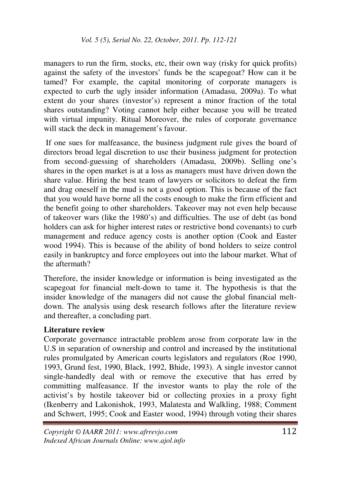managers to run the firm, stocks, etc, their own way (risky for quick profits) against the safety of the investors' funds be the scapegoat? How can it be tamed? For example, the capital monitoring of corporate managers is expected to curb the ugly insider information (Amadasu, 2009a). To what extent do your shares (investor's) represent a minor fraction of the total shares outstanding? Voting cannot help either because you will be treated with virtual impunity. Ritual Moreover, the rules of corporate governance will stack the deck in management's favour.

 If one sues for malfeasance, the business judgment rule gives the board of directors broad legal discretion to use their business judgment for protection from second-guessing of shareholders (Amadasu, 2009b). Selling one's shares in the open market is at a loss as managers must have driven down the share value. Hiring the best team of lawyers or solicitors to defeat the firm and drag oneself in the mud is not a good option. This is because of the fact that you would have borne all the costs enough to make the firm efficient and the benefit going to other shareholders. Takeover may not even help because of takeover wars (like the 1980's) and difficulties. The use of debt (as bond holders can ask for higher interest rates or restrictive bond covenants) to curb management and reduce agency costs is another option (Cook and Easter wood 1994). This is because of the ability of bond holders to seize control easily in bankruptcy and force employees out into the labour market. What of the aftermath?

Therefore, the insider knowledge or information is being investigated as the scapegoat for financial melt-down to tame it. The hypothesis is that the insider knowledge of the managers did not cause the global financial meltdown. The analysis using desk research follows after the literature review and thereafter, a concluding part.

# **Literature review**

Corporate governance intractable problem arose from corporate law in the U.S in separation of ownership and control and increased by the institutional rules promulgated by American courts legislators and regulators (Roe 1990, 1993, Grund fest, 1990, Black, 1992, Bhide, 1993). A single investor cannot single-handedly deal with or remove the executive that has erred by committing malfeasance. If the investor wants to play the role of the activist's by hostile takeover bid or collecting proxies in a proxy fight (Ikenberry and Lakonishok, 1993, Malatesta and Walkling, 1988; Comment and Schwert, 1995; Cook and Easter wood, 1994) through voting their shares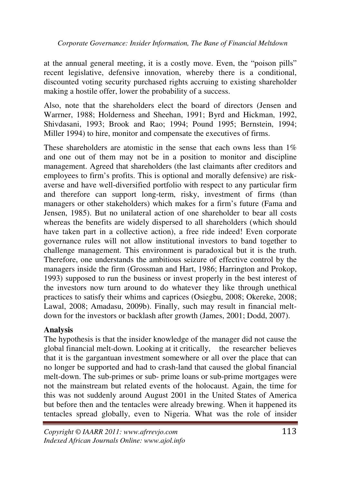at the annual general meeting, it is a costly move. Even, the "poison pills" recent legislative, defensive innovation, whereby there is a conditional, discounted voting security purchased rights accruing to existing shareholder making a hostile offer, lower the probability of a success.

Also, note that the shareholders elect the board of directors (Jensen and Warrner, 1988; Holderness and Sheehan, 1991; Byrd and Hickman, 1992, Shivdasani, 1993; Brook and Rao; 1994; Pound 1995; Bernstein, 1994; Miller 1994) to hire, monitor and compensate the executives of firms.

These shareholders are atomistic in the sense that each owns less than 1% and one out of them may not be in a position to monitor and discipline management. Agreed that shareholders (the last claimants after creditors and employees to firm's profits. This is optional and morally defensive) are riskaverse and have well-diversified portfolio with respect to any particular firm and therefore can support long-term, risky, investment of firms (than managers or other stakeholders) which makes for a firm's future (Fama and Jensen, 1985). But no unilateral action of one shareholder to bear all costs whereas the benefits are widely dispersed to all shareholders (which should have taken part in a collective action), a free ride indeed! Even corporate governance rules will not allow institutional investors to band together to challenge management. This environment is paradoxical but it is the truth. Therefore, one understands the ambitious seizure of effective control by the managers inside the firm (Grossman and Hart, 1986; Harrington and Prokop, 1993) supposed to run the business or invest properly in the best interest of the investors now turn around to do whatever they like through unethical practices to satisfy their whims and caprices (Osiegbu, 2008; Okereke, 2008; Lawal, 2008; Amadasu, 2009b). Finally, such may result in financial meltdown for the investors or backlash after growth (James, 2001; Dodd, 2007).

# **Analysis**

The hypothesis is that the insider knowledge of the manager did not cause the global financial melt-down. Looking at it critically, the researcher believes that it is the gargantuan investment somewhere or all over the place that can no longer be supported and had to crash-land that caused the global financial melt-down. The sub-primes or sub- prime loans or sub-prime mortgages were not the mainstream but related events of the holocaust. Again, the time for this was not suddenly around August 2001 in the United States of America but before then and the tentacles were already brewing. When it happened its tentacles spread globally, even to Nigeria. What was the role of insider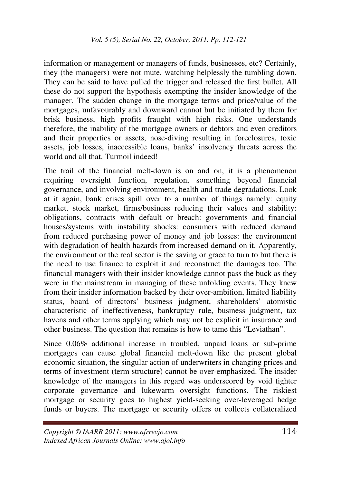information or management or managers of funds, businesses, etc? Certainly, they (the managers) were not mute, watching helplessly the tumbling down. They can be said to have pulled the trigger and released the first bullet. All these do not support the hypothesis exempting the insider knowledge of the manager. The sudden change in the mortgage terms and price/value of the mortgages, unfavourably and downward cannot but be initiated by them for brisk business, high profits fraught with high risks. One understands therefore, the inability of the mortgage owners or debtors and even creditors and their properties or assets, nose-diving resulting in foreclosures, toxic assets, job losses, inaccessible loans, banks' insolvency threats across the world and all that. Turmoil indeed!

The trail of the financial melt-down is on and on, it is a phenomenon requiring oversight function, regulation, something beyond financial governance, and involving environment, health and trade degradations. Look at it again, bank crises spill over to a number of things namely: equity market, stock market, firms/business reducing their values and stability: obligations, contracts with default or breach: governments and financial houses/systems with instability shocks: consumers with reduced demand from reduced purchasing power of money and job losses: the environment with degradation of health hazards from increased demand on it. Apparently, the environment or the real sector is the saving or grace to turn to but there is the need to use finance to exploit it and reconstruct the damages too. The financial managers with their insider knowledge cannot pass the buck as they were in the mainstream in managing of these unfolding events. They knew from their insider information backed by their over-ambition, limited liability status, board of directors' business judgment, shareholders' atomistic characteristic of ineffectiveness, bankruptcy rule, business judgment, tax havens and other terms applying which may not be explicit in insurance and other business. The question that remains is how to tame this "Leviathan".

Since 0.06% additional increase in troubled, unpaid loans or sub-prime mortgages can cause global financial melt-down like the present global economic situation, the singular action of underwriters in changing prices and terms of investment (term structure) cannot be over-emphasized. The insider knowledge of the managers in this regard was underscored by void tighter corporate governance and lukewarm oversight functions. The riskiest mortgage or security goes to highest yield-seeking over-leveraged hedge funds or buyers. The mortgage or security offers or collects collateralized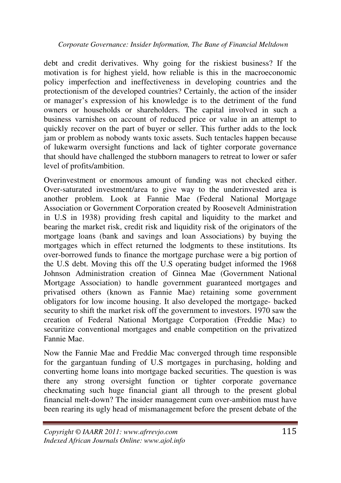debt and credit derivatives. Why going for the riskiest business? If the motivation is for highest yield, how reliable is this in the macroeconomic policy imperfection and ineffectiveness in developing countries and the protectionism of the developed countries? Certainly, the action of the insider or manager's expression of his knowledge is to the detriment of the fund owners or households or shareholders. The capital involved in such a business varnishes on account of reduced price or value in an attempt to quickly recover on the part of buyer or seller. This further adds to the lock jam or problem as nobody wants toxic assets. Such tentacles happen because of lukewarm oversight functions and lack of tighter corporate governance that should have challenged the stubborn managers to retreat to lower or safer level of profits/ambition.

Overinvestment or enormous amount of funding was not checked either. Over-saturated investment/area to give way to the underinvested area is another problem. Look at Fannie Mae (Federal National Mortgage Association or Government Corporation created by Roosevelt Administration in U.S in 1938) providing fresh capital and liquidity to the market and bearing the market risk, credit risk and liquidity risk of the originators of the mortgage loans (bank and savings and loan Associations) by buying the mortgages which in effect returned the lodgments to these institutions. Its over-borrowed funds to finance the mortgage purchase were a big portion of the U.S debt. Moving this off the U.S operating budget informed the 1968 Johnson Administration creation of Ginnea Mae (Government National Mortgage Association) to handle government guaranteed mortgages and privatised others (known as Fannie Mae) retaining some government obligators for low income housing. It also developed the mortgage- backed security to shift the market risk off the government to investors. 1970 saw the creation of Federal National Mortgage Corporation (Freddie Mac) to securitize conventional mortgages and enable competition on the privatized Fannie Mae.

Now the Fannie Mae and Freddie Mac converged through time responsible for the gargantuan funding of U.S mortgages in purchasing, holding and converting home loans into mortgage backed securities. The question is was there any strong oversight function or tighter corporate governance checkmating such huge financial giant all through to the present global financial melt-down? The insider management cum over-ambition must have been rearing its ugly head of mismanagement before the present debate of the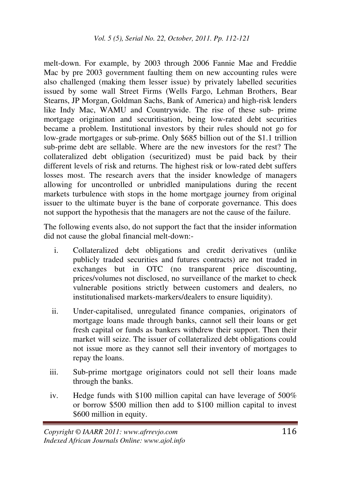melt-down. For example, by 2003 through 2006 Fannie Mae and Freddie Mac by pre 2003 government faulting them on new accounting rules were also challenged (making them lesser issue) by privately labelled securities issued by some wall Street Firms (Wells Fargo, Lehman Brothers, Bear Stearns, JP Morgan, Goldman Sachs, Bank of America) and high-risk lenders like Indy Mac, WAMU and Countrywide. The rise of these sub- prime mortgage origination and securitisation, being low-rated debt securities became a problem. Institutional investors by their rules should not go for low-grade mortgages or sub-prime. Only \$685 billion out of the \$1.1 trillion sub-prime debt are sellable. Where are the new investors for the rest? The collateralized debt obligation (securitized) must be paid back by their different levels of risk and returns. The highest risk or low-rated debt suffers losses most. The research avers that the insider knowledge of managers allowing for uncontrolled or unbridled manipulations during the recent markets turbulence with stops in the home mortgage journey from original issuer to the ultimate buyer is the bane of corporate governance. This does not support the hypothesis that the managers are not the cause of the failure.

The following events also, do not support the fact that the insider information did not cause the global financial melt-down:-

- i. Collateralized debt obligations and credit derivatives (unlike publicly traded securities and futures contracts) are not traded in exchanges but in OTC (no transparent price discounting, prices/volumes not disclosed, no surveillance of the market to check vulnerable positions strictly between customers and dealers, no institutionalised markets-markers/dealers to ensure liquidity).
- ii. Under-capitalised, unregulated finance companies, originators of mortgage loans made through banks, cannot sell their loans or get fresh capital or funds as bankers withdrew their support. Then their market will seize. The issuer of collateralized debt obligations could not issue more as they cannot sell their inventory of mortgages to repay the loans.
- iii. Sub-prime mortgage originators could not sell their loans made through the banks.
- iv. Hedge funds with \$100 million capital can have leverage of 500% or borrow \$500 million then add to \$100 million capital to invest \$600 million in equity.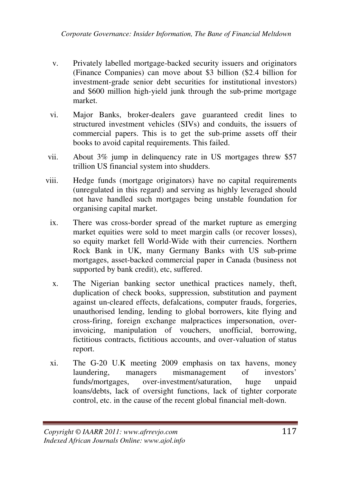- v. Privately labelled mortgage-backed security issuers and originators (Finance Companies) can move about \$3 billion (\$2.4 billion for investment-grade senior debt securities for institutional investors) and \$600 million high-yield junk through the sub-prime mortgage market.
- vi. Major Banks, broker-dealers gave guaranteed credit lines to structured investment vehicles (SIVs) and conduits, the issuers of commercial papers. This is to get the sub-prime assets off their books to avoid capital requirements. This failed.
- vii. About 3% jump in delinquency rate in US mortgages threw \$57 trillion US financial system into shudders.
- viii. Hedge funds (mortgage originators) have no capital requirements (unregulated in this regard) and serving as highly leveraged should not have handled such mortgages being unstable foundation for organising capital market.
	- ix. There was cross-border spread of the market rupture as emerging market equities were sold to meet margin calls (or recover losses), so equity market fell World-Wide with their currencies. Northern Rock Bank in UK, many Germany Banks with US sub-prime mortgages, asset-backed commercial paper in Canada (business not supported by bank credit), etc, suffered.
	- x. The Nigerian banking sector unethical practices namely, theft, duplication of check books, suppression, substitution and payment against un-cleared effects, defalcations, computer frauds, forgeries, unauthorised lending, lending to global borrowers, kite flying and cross-firing, foreign exchange malpractices impersonation, overinvoicing, manipulation of vouchers, unofficial, borrowing, fictitious contracts, fictitious accounts, and over-valuation of status report.
	- xi. The G-20 U.K meeting 2009 emphasis on tax havens, money laundering, managers mismanagement of investors' funds/mortgages, over-investment/saturation, huge unpaid loans/debts, lack of oversight functions, lack of tighter corporate control, etc. in the cause of the recent global financial melt-down.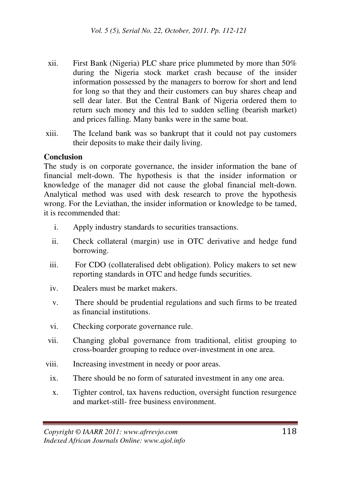- xii. First Bank (Nigeria) PLC share price plummeted by more than 50% during the Nigeria stock market crash because of the insider information possessed by the managers to borrow for short and lend for long so that they and their customers can buy shares cheap and sell dear later. But the Central Bank of Nigeria ordered them to return such money and this led to sudden selling (bearish market) and prices falling. Many banks were in the same boat.
- xiii. The Iceland bank was so bankrupt that it could not pay customers their deposits to make their daily living.

### **Conclusion**

The study is on corporate governance, the insider information the bane of financial melt-down. The hypothesis is that the insider information or knowledge of the manager did not cause the global financial melt-down. Analytical method was used with desk research to prove the hypothesis wrong. For the Leviathan, the insider information or knowledge to be tamed, it is recommended that:

- i. Apply industry standards to securities transactions.
- ii. Check collateral (margin) use in OTC derivative and hedge fund borrowing.
- iii. For CDO (collateralised debt obligation). Policy makers to set new reporting standards in OTC and hedge funds securities.
- iv. Dealers must be market makers.
- v. There should be prudential regulations and such firms to be treated as financial institutions.
- vi. Checking corporate governance rule.
- vii. Changing global governance from traditional, elitist grouping to cross-boarder grouping to reduce over-investment in one area.
- viii. Increasing investment in needy or poor areas.
	- ix. There should be no form of saturated investment in any one area.
	- x. Tighter control, tax havens reduction, oversight function resurgence and market-still- free business environment.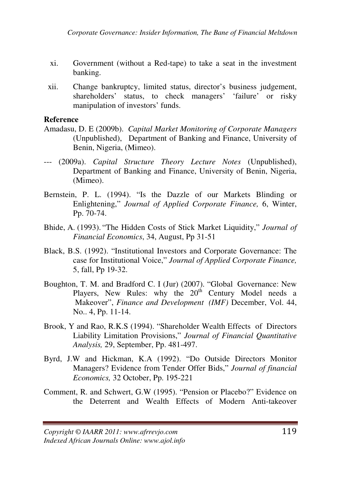- xi. Government (without a Red-tape) to take a seat in the investment banking.
- xii. Change bankruptcy, limited status, director's business judgement, shareholders' status, to check managers' 'failure' or risky manipulation of investors' funds.

### **Reference**

- Amadasu, D. E (2009b). *Capital Market Monitoring of Corporate Managers*  (Unpublished), Department of Banking and Finance, University of Benin, Nigeria, (Mimeo).
- --- (2009a). *Capital Structure Theory Lecture Notes* (Unpublished), Department of Banking and Finance, University of Benin, Nigeria, (Mimeo).
- Bernstein, P. L. (1994). "Is the Dazzle of our Markets Blinding or Enlightening," *Journal of Applied Corporate Finance,* 6, Winter, Pp. 70-74.
- Bhide, A. (1993). "The Hidden Costs of Stick Market Liquidity," *Journal of Financial Economics*, 34, August, Pp 31-51
- Black, B.S. (1992). "Institutional Investors and Corporate Governance: The case for Institutional Voice," *Journal of Applied Corporate Finance,* 5, fall, Pp 19-32.
- Boughton, T. M. and Bradford C. I (Jur) (2007). "Global Governance: New Players, New Rules: why the  $20<sup>th</sup>$  Century Model needs a Makeover", *Finance and Development (IMF)* December, Vol. 44, No.. 4, Pp. 11-14.
- Brook, Y and Rao, R.K.S (1994). "Shareholder Wealth Effects of Directors Liability Limitation Provisions," *Journal of Financial Quantitative Analysis,* 29, September, Pp. 481-497.
- Byrd, J.W and Hickman, K.A (1992). "Do Outside Directors Monitor Managers? Evidence from Tender Offer Bids," *Journal of financial Economics,* 32 October, Pp. 195-221
- Comment, R. and Schwert, G.W (1995). "Pension or Placebo?" Evidence on the Deterrent and Wealth Effects of Modern Anti-takeover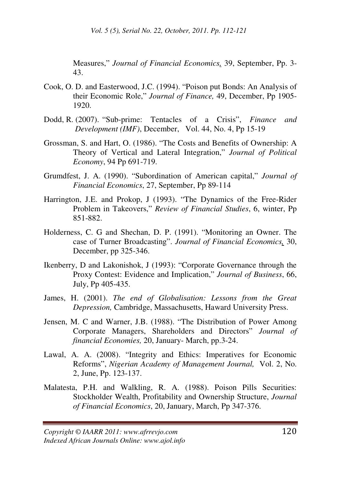Measures," *Journal of Financial Economics,* 39, September, Pp. 3- 43.

- Cook, O. D. and Easterwood, J.C. (1994). "Poison put Bonds: An Analysis of their Economic Role," *Journal of Finance,* 49, December, Pp 1905- 1920.
- Dodd, R. (2007). "Sub-prime: Tentacles of a Crisis", *Finance and Development (IMF)*, December, Vol. 44, No. 4, Pp 15-19
- Grossman, S. and Hart, O. (1986). "The Costs and Benefits of Ownership: A Theory of Vertical and Lateral Integration," *Journal of Political Economy*, 94 Pp 691-719.
- Grumdfest, J. A. (1990). "Subordination of American capital," *Journal of Financial Economics*, 27, September, Pp 89-114
- Harrington, J.E. and Prokop, J (1993). "The Dynamics of the Free-Rider Problem in Takeovers," *Review of Financial Studies*, 6, winter, Pp 851-882.
- Holderness, C. G and Shechan, D. P. (1991). "Monitoring an Owner. The case of Turner Broadcasting". *Journal of Financial Economics,* 30, December, pp 325-346.
- Ikenberry, D and Lakonishok, J (1993): "Corporate Governance through the Proxy Contest: Evidence and Implication," *Journal of Business*, 66, July, Pp 405-435.
- James, H. (2001). *The end of Globalisation: Lessons from the Great Depression,* Cambridge, Massachusetts, Haward University Press.
- Jensen, M. C and Warner, J.B. (1988). "The Distribution of Power Among Corporate Managers, Shareholders and Directors" *Journal of financial Economies,* 20, January- March, pp.3-24.
- Lawal, A. A. (2008). "Integrity and Ethics: Imperatives for Economic Reforms", *Nigerian Academy of Management Journal,* Vol. 2, No. 2, June, Pp. 123-137.
- Malatesta, P.H. and Walkling, R. A. (1988). Poison Pills Securities: Stockholder Wealth, Profitability and Ownership Structure, *Journal of Financial Economics*, 20, January, March, Pp 347-376.